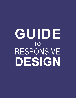# RESPONSIVE **DESIGN GUIDE**  $-$  TO  $-$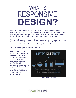### RESPONSIVE WHAT IS **DESIGN?**

Ever tried to look up a website on your smartphone and were frustrated by what you saw when the screen finally loaded? Was website too zoomed out? Was text too small? Did you have to resort to pinching and scrolling in order to actually be able to read the site? Did the page not even load at all?

This is what happens when a traditional website is loaded on a mobile device. Smartphones, tablets, and other devices have very different web design specifications than those that work with a regular computer.

This is where responsive design comes in.

Responsive design is a special way of designing websites which takes into account the various platforms in which a website will be viewed on. This includes computers, tablets, mobile phones, etc. The goal of responsive design is to create a website that looks good across all of these platforms.



[1] Illustration by Stéphanie Walter

#### **Cool Life CRM**

2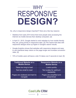### RESPONSIVE WHY  $-$ **DESIGN?**

So, why is responsive design important? Here are a few key reasons:

- Statistics from early 2014 show that more people were accessing the Internet via mobile devices than desktop computers. [2]
- In April 21, 2015, Google started to rank websites by how mobile friendly they are, giving priority to responsive sites. [3] This means that sites with responsive designs show up higher in Google's search results.
- Google Analytics shows that websites with responsive designs and easy to use interfaces keep vistors on the page longer and increase conversion rates. [4]
- 74% of mobile users will leave a site if it takes over 5 seconds to load. [5]

| <b>Traditional Website on a</b> | <b>Responsive Website on a</b>                |
|---------------------------------|-----------------------------------------------|
| <b>Mobile Device</b>            | <b>Mobile Device</b>                          |
| Takes too long to load          | Loads quickly                                 |
| Text too small to read          | <b>Text scales for optimum</b><br>readability |
| Pages are cluttered and hard to | Pages are simplified and                      |
| navigate                        | streamlined                                   |

#### **Cool Life CRM**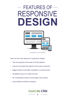## RESPONSIVE  $-$  FEATURES OF  $-$ **DESIGN**



[6] Illustration by Jose Luis Dobuss

Here are the main features of responsive design:

- Text and graphics that scale to fit the platform
- Layouts and grids that adjust to the screen resolution
- Bigger buttons and better navigation via touchscreen
- Simplified layout for mobile devices
- No complicated scripts so that pages load quickly
- Less website maintence required

#### **Cool Life CRM** 4